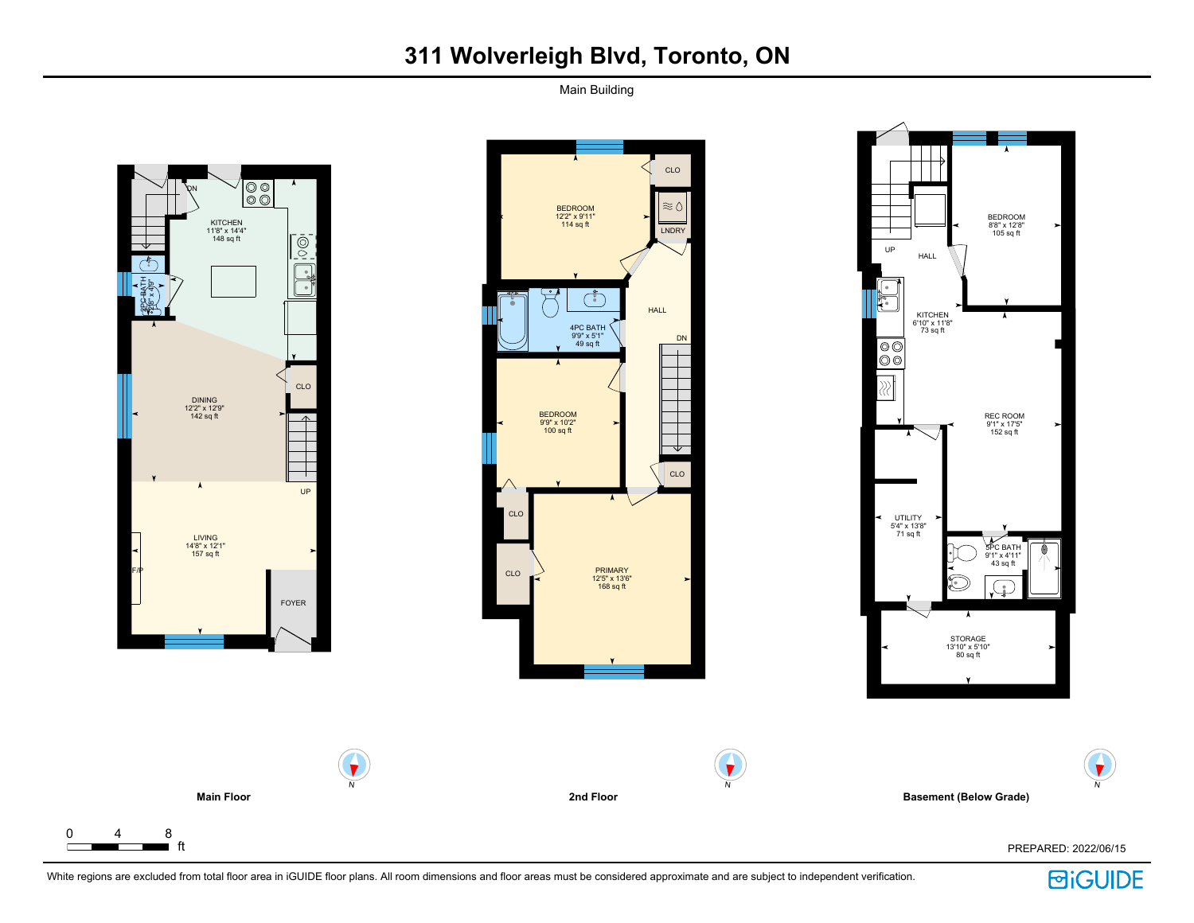Main Building





**Basement (Below Grade)**

ft PREPARED: 2022/06/15



N



N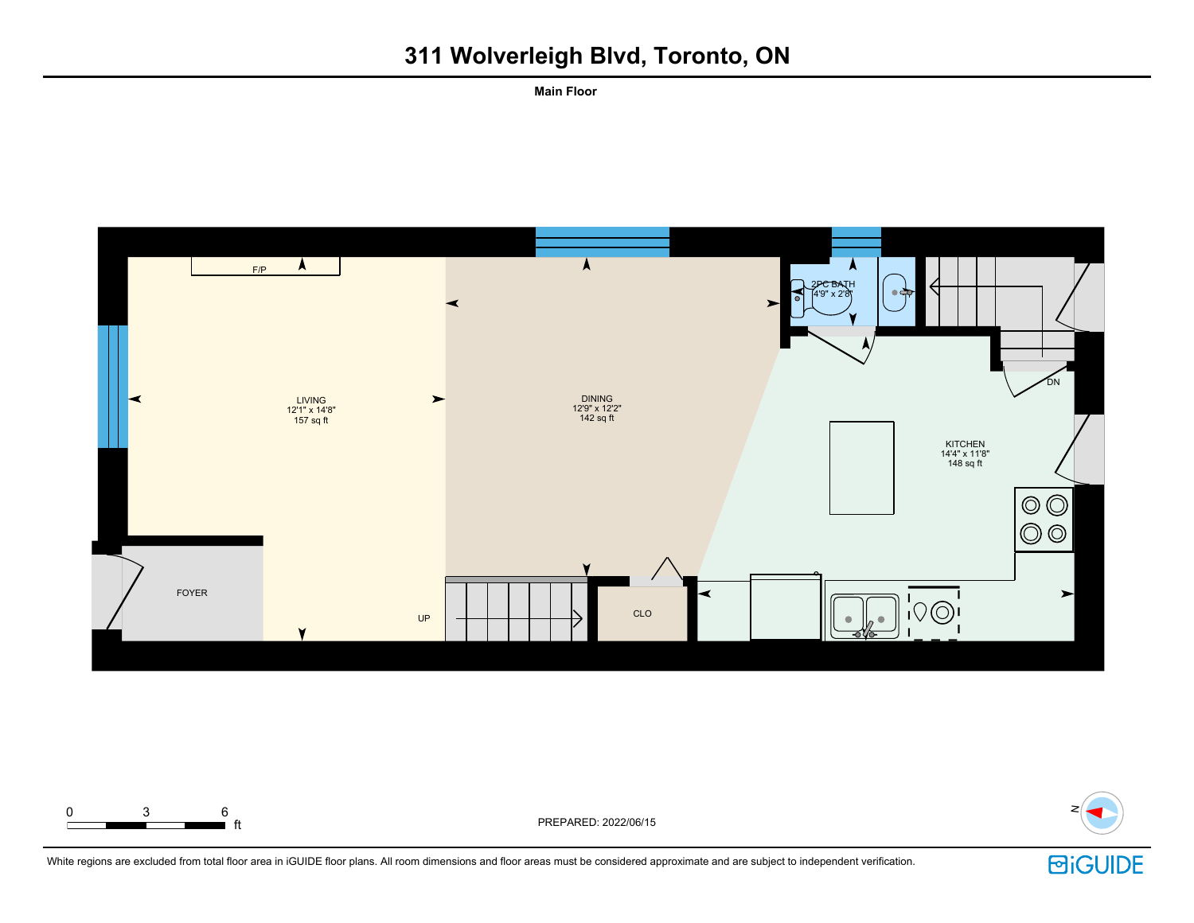**Main Floor**





 $\blacksquare$  ft  $\blacksquare$ 



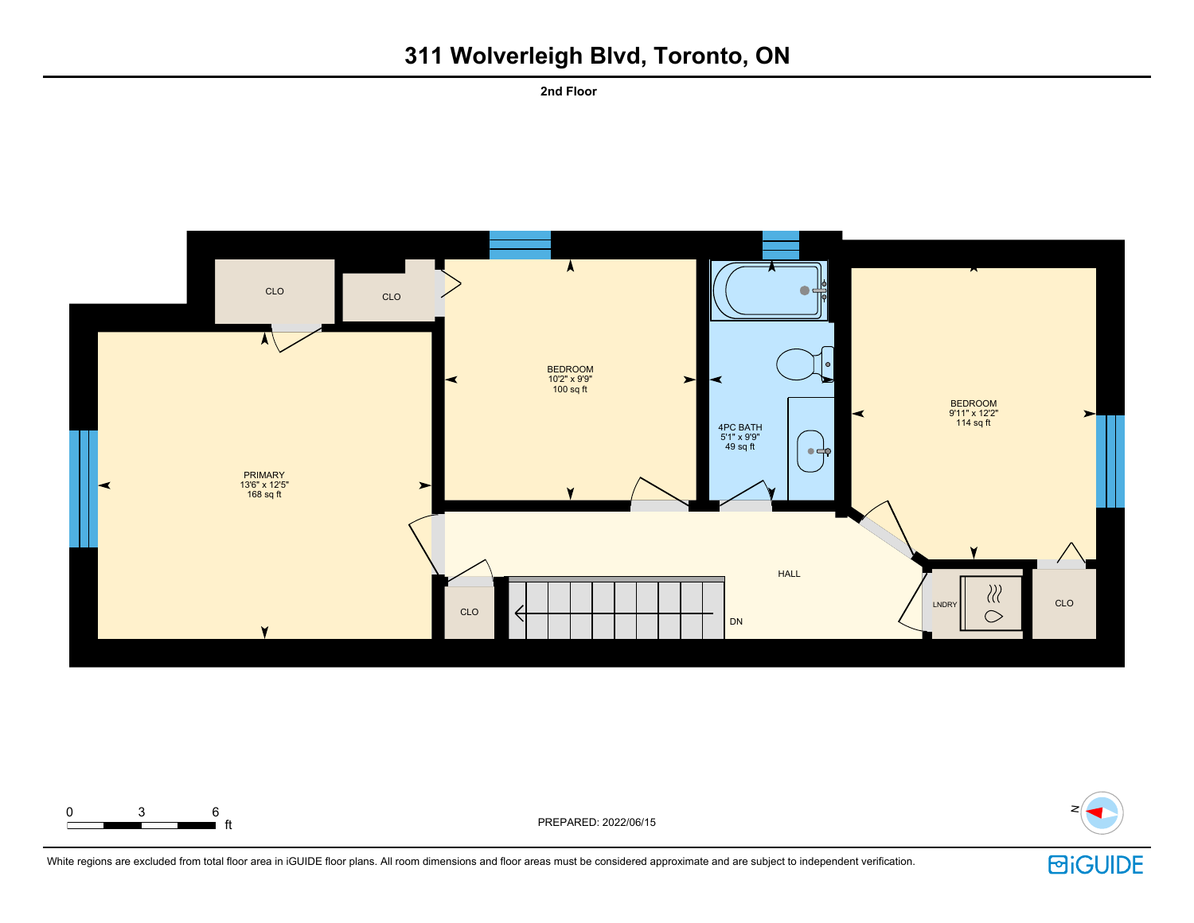**2nd Floor**





**E** ft **F**t PREPARED: 2022/06/15



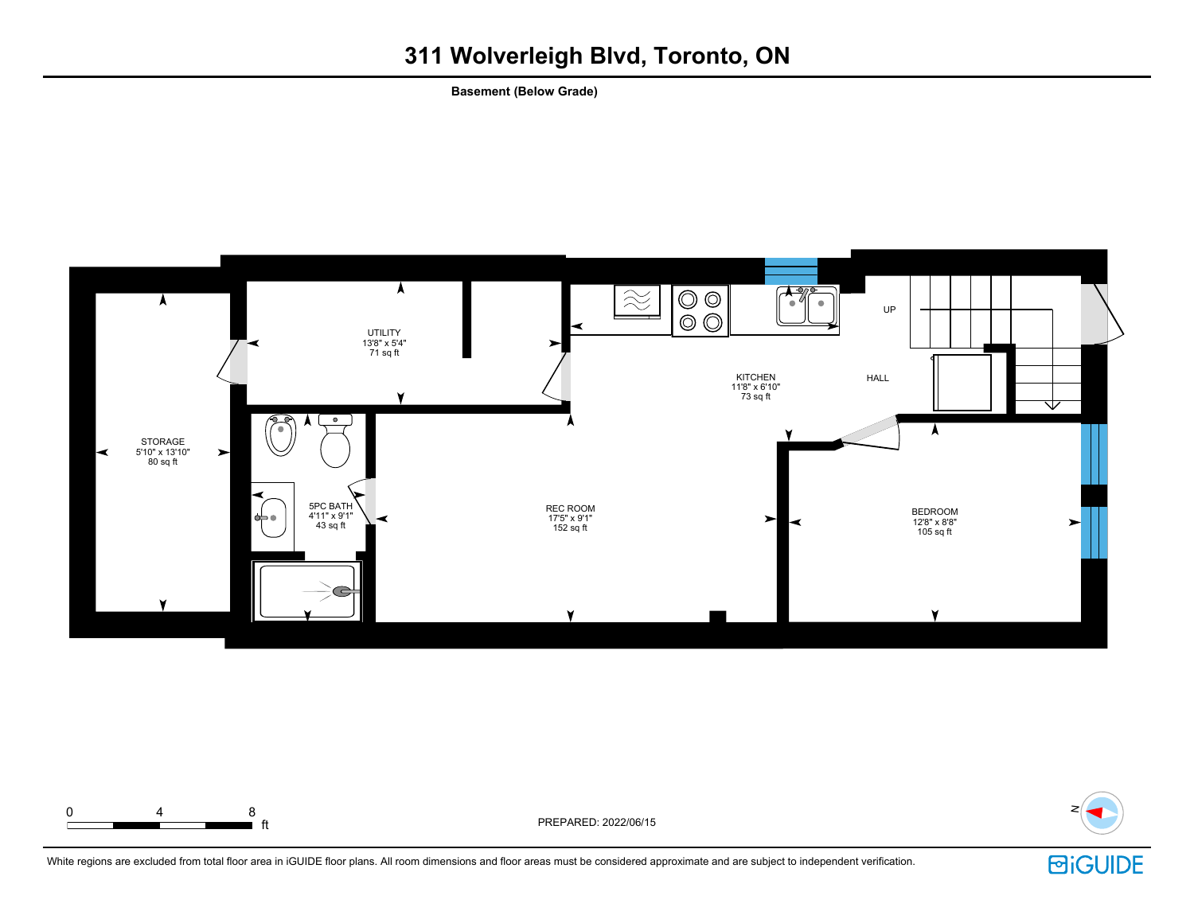**Basement (Below Grade)**





ft PREPARED: 2022/06/15



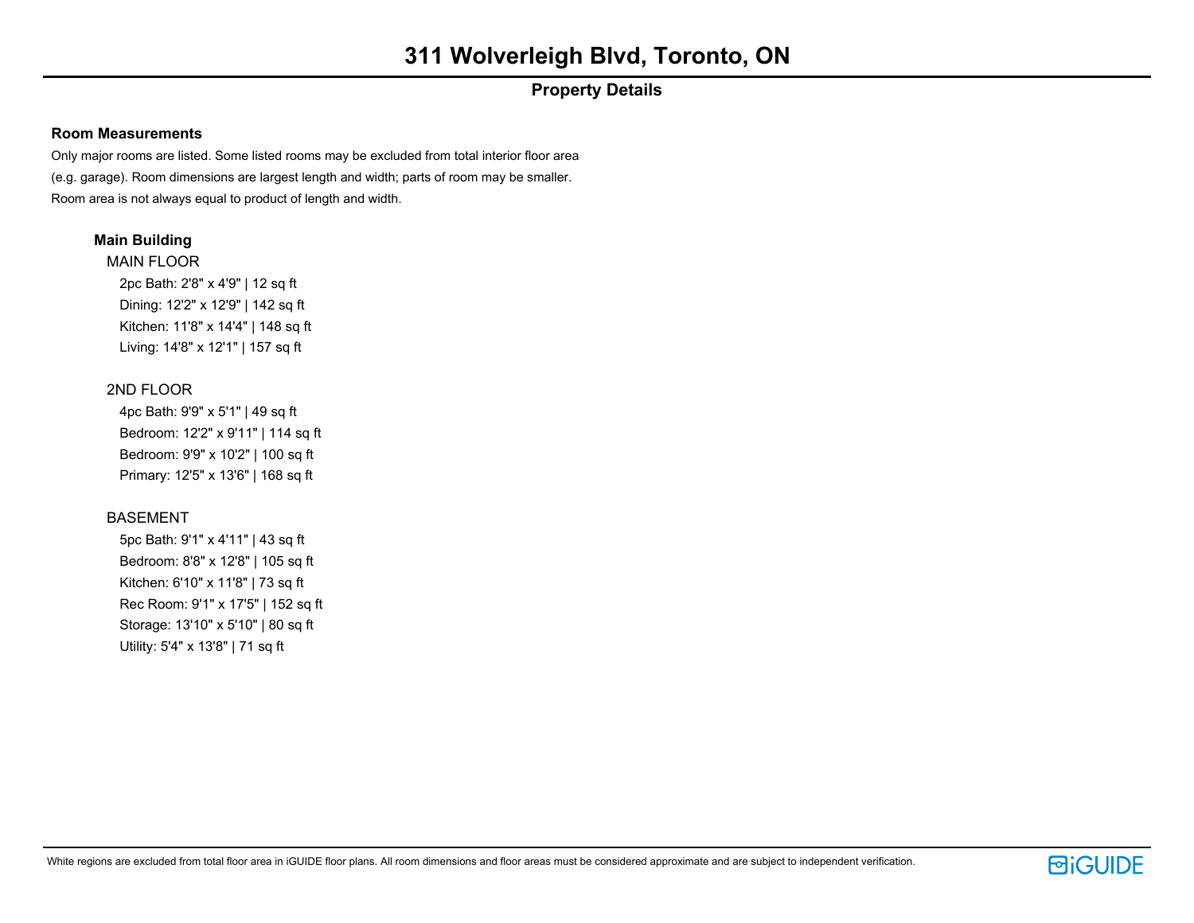## **Property Details**

### **Room Measurements**

Only major rooms are listed. Some listed rooms may be excluded from total interior floor area (e.g. garage). Room dimensions are largest length and width; parts of room may be smaller. Room area is not always equal to product of length and width.

## **Main Building**

MAIN FLOOR 2pc Bath: 2'8" x 4'9" | 12 sq ft Dining: 12'2" x 12'9" | 142 sq ft Kitchen: 11'8" x 14'4" | 148 sq ft Living: 14'8" x 12'1" | 157 sq ft

## 2ND FLOOR

4pc Bath: 9'9" x 5'1" | 49 sq ft Bedroom: 12'2" x 9'11" | 114 sq ft Bedroom: 9'9" x 10'2" | 100 sq ft Primary: 12'5" x 13'6" | 168 sq ft

## BASEMENT

5pc Bath: 9'1" x 4'11" | 43 sq ft Bedroom: 8'8" x 12'8" | 105 sq ft Kitchen: 6'10" x 11'8" | 73 sq ft Rec Room: 9'1" x 17'5" | 152 sq ft Storage: 13'10" x 5'10" | 80 sq ft Utility: 5'4" x 13'8" | 71 sq ft